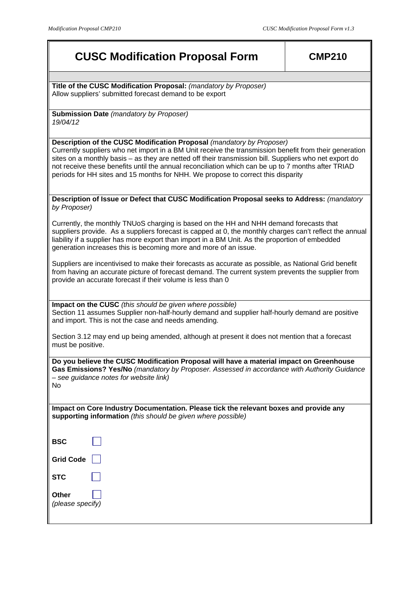# **CUSC Modification Proposal Form CMP210**

**Title of the CUSC Modification Proposal:** *(mandatory by Proposer)* Allow suppliers' submitted forecast demand to be export

**Submission Date** *(mandatory by Proposer) 19/04/12*

# **Description of the CUSC Modification Proposal** *(mandatory by Proposer)*

Currently suppliers who net import in a BM Unit receive the transmission benefit from their generation sites on a monthly basis – as they are netted off their transmission bill. Suppliers who net export do not receive these benefits until the annual reconciliation which can be up to 7 months after TRIAD periods for HH sites and 15 months for NHH. We propose to correct this disparity

#### **Description of Issue or Defect that CUSC Modification Proposal seeks to Address:** *(mandatory by Proposer)*

Currently, the monthly TNUoS charging is based on the HH and NHH demand forecasts that suppliers provide. As a suppliers forecast is capped at 0, the monthly charges can't reflect the annual liability if a supplier has more export than import in a BM Unit. As the proportion of embedded generation increases this is becoming more and more of an issue.

Suppliers are incentivised to make their forecasts as accurate as possible, as National Grid benefit from having an accurate picture of forecast demand. The current system prevents the supplier from provide an accurate forecast if their volume is less than 0

**Impact on the CUSC** *(this should be given where possible)* Section 11 assumes Supplier non-half-hourly demand and supplier half-hourly demand are positive and import. This is not the case and needs amending.

Section 3.12 may end up being amended, although at present it does not mention that a forecast must be positive.

**Do you believe the CUSC Modification Proposal will have a material impact on Greenhouse Gas Emissions? Yes/No** *(mandatory by Proposer. Assessed in accordance with Authority Guidance – see guidance notes for website link)*  No

**Impact on Core Industry Documentation. Please tick the relevant boxes and provide any supporting information** *(this should be given where possible)*

**BSC Grid Code STC Other**  *(please specify)*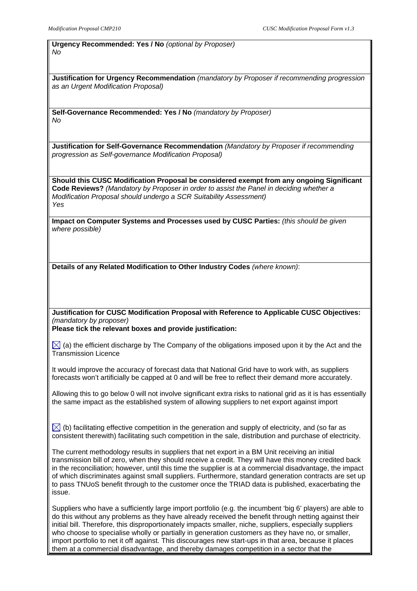# **Urgency Recommended: Yes / No** *(optional by Proposer) No*

**Justification for Urgency Recommendation** *(mandatory by Proposer if recommending progression as an Urgent Modification Proposal)* 

**Self-Governance Recommended: Yes / No** *(mandatory by Proposer) No* 

**Justification for Self-Governance Recommendation** *(Mandatory by Proposer if recommending progression as Self-governance Modification Proposal)* 

**Should this CUSC Modification Proposal be considered exempt from any ongoing Significant Code Reviews?** *(Mandatory by Proposer in order to assist the Panel in deciding whether a Modification Proposal should undergo a SCR Suitability Assessment) Yes* 

**Impact on Computer Systems and Processes used by CUSC Parties:** *(this should be given where possible)*

**Details of any Related Modification to Other Industry Codes** *(where known)*:

**Justification for CUSC Modification Proposal with Reference to Applicable CUSC Objectives:**  *(mandatory by proposer)*

**Please tick the relevant boxes and provide justification:** 

 $\boxtimes$  (a) the efficient discharge by The Company of the obligations imposed upon it by the Act and the Transmission Licence

It would improve the accuracy of forecast data that National Grid have to work with, as suppliers forecasts won't artificially be capped at 0 and will be free to reflect their demand more accurately.

Allowing this to go below 0 will not involve significant extra risks to national grid as it is has essentially the same impact as the established system of allowing suppliers to net export against import

 $\boxtimes$  (b) facilitating effective competition in the generation and supply of electricity, and (so far as consistent therewith) facilitating such competition in the sale, distribution and purchase of electricity.

The current methodology results in suppliers that net export in a BM Unit receiving an initial transmission bill of zero, when they should receive a credit. They will have this money credited back in the reconciliation; however, until this time the supplier is at a commercial disadvantage, the impact of which discriminates against small suppliers. Furthermore, standard generation contracts are set up to pass TNUoS benefit through to the customer once the TRIAD data is published, exacerbating the issue.

Suppliers who have a sufficiently large import portfolio (e.g. the incumbent 'big 6' players) are able to do this without any problems as they have already received the benefit through netting against their initial bill. Therefore, this disproportionately impacts smaller, niche, suppliers, especially suppliers who choose to specialise wholly or partially in generation customers as they have no, or smaller, import portfolio to net it off against. This discourages new start-ups in that area, because it places them at a commercial disadvantage, and thereby damages competition in a sector that the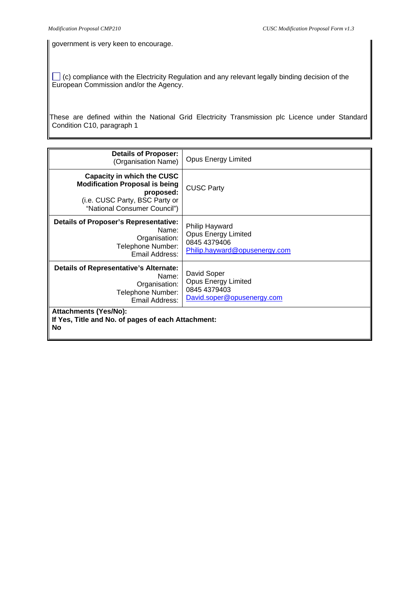government is very keen to encourage.

 (c) compliance with the Electricity Regulation and any relevant legally binding decision of the European Commission and/or the Agency.

These are defined within the National Grid Electricity Transmission plc Licence under Standard Condition C10, paragraph 1

| <b>Details of Proposer:</b><br>(Organisation Name)                                                                                                 | <b>Opus Energy Limited</b>                                                                    |
|----------------------------------------------------------------------------------------------------------------------------------------------------|-----------------------------------------------------------------------------------------------|
| Capacity in which the CUSC<br><b>Modification Proposal is being</b><br>proposed:<br>(i.e. CUSC Party, BSC Party or<br>"National Consumer Council") | <b>CUSC Party</b>                                                                             |
| Details of Proposer's Representative:<br>Name:<br>Organisation:<br>Telephone Number:<br>Email Address:                                             | Philip Hayward<br><b>Opus Energy Limited</b><br>0845 4379406<br>Philip.hayward@opusenergy.com |
| <b>Details of Representative's Alternate:</b><br>Name:<br>Organisation:<br>Telephone Number:<br>Email Address:                                     | David Soper<br><b>Opus Energy Limited</b><br>0845 4379403<br>David.soper@opusenergy.com       |
| <b>Attachments (Yes/No):</b><br>If Yes, Title and No. of pages of each Attachment:<br><b>No</b>                                                    |                                                                                               |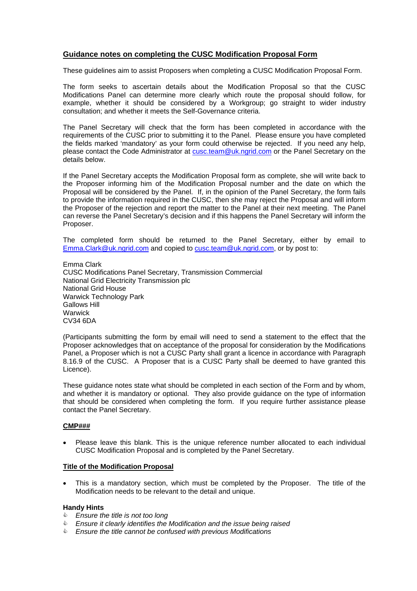# **Guidance notes on completing the CUSC Modification Proposal Form**

These guidelines aim to assist Proposers when completing a CUSC Modification Proposal Form.

The form seeks to ascertain details about the Modification Proposal so that the CUSC Modifications Panel can determine more clearly which route the proposal should follow, for example, whether it should be considered by a Workgroup; go straight to wider industry consultation; and whether it meets the Self-Governance criteria.

The Panel Secretary will check that the form has been completed in accordance with the requirements of the CUSC prior to submitting it to the Panel. Please ensure you have completed the fields marked 'mandatory' as your form could otherwise be rejected. If you need any help, please contact the Code Administrator at cusc.team@uk.ngrid.com or the Panel Secretary on the details below.

If the Panel Secretary accepts the Modification Proposal form as complete, she will write back to the Proposer informing him of the Modification Proposal number and the date on which the Proposal will be considered by the Panel. If, in the opinion of the Panel Secretary, the form fails to provide the information required in the CUSC, then she may reject the Proposal and will inform the Proposer of the rejection and report the matter to the Panel at their next meeting. The Panel can reverse the Panel Secretary's decision and if this happens the Panel Secretary will inform the Proposer.

The completed form should be returned to the Panel Secretary, either by email to Emma.Clark@uk.ngrid.com and copied to cusc.team@uk.ngrid.com, or by post to:

Emma Clark CUSC Modifications Panel Secretary, Transmission Commercial National Grid Electricity Transmission plc National Grid House Warwick Technology Park Gallows Hill **Warwick** CV34 6DA

(Participants submitting the form by email will need to send a statement to the effect that the Proposer acknowledges that on acceptance of the proposal for consideration by the Modifications Panel, a Proposer which is not a CUSC Party shall grant a licence in accordance with Paragraph 8.16.9 of the CUSC. A Proposer that is a CUSC Party shall be deemed to have granted this Licence).

These guidance notes state what should be completed in each section of the Form and by whom, and whether it is mandatory or optional. They also provide guidance on the type of information that should be considered when completing the form. If you require further assistance please contact the Panel Secretary.

#### **CMP###**

• Please leave this blank. This is the unique reference number allocated to each individual CUSC Modification Proposal and is completed by the Panel Secretary.

#### **Title of the Modification Proposal**

This is a mandatory section, which must be completed by the Proposer. The title of the Modification needs to be relevant to the detail and unique.

#### **Handy Hints**

- & *Ensure the title is not too long*
- & *Ensure it clearly identifies the Modification and the issue being raised*
- & *Ensure the title cannot be confused with previous Modifications*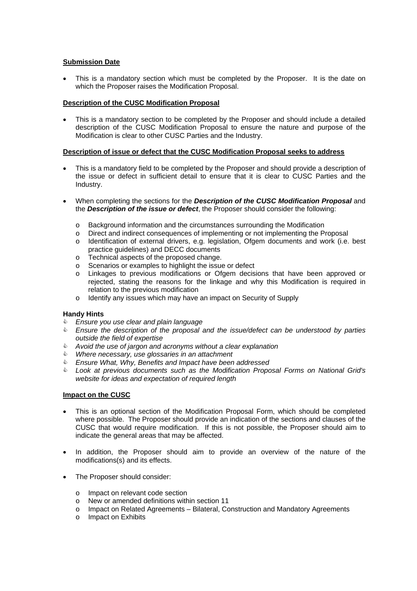# **Submission Date**

This is a mandatory section which must be completed by the Proposer. It is the date on which the Proposer raises the Modification Proposal.

# **Description of the CUSC Modification Proposal**

• This is a mandatory section to be completed by the Proposer and should include a detailed description of the CUSC Modification Proposal to ensure the nature and purpose of the Modification is clear to other CUSC Parties and the Industry.

# **Description of issue or defect that the CUSC Modification Proposal seeks to address**

- This is a mandatory field to be completed by the Proposer and should provide a description of the issue or defect in sufficient detail to ensure that it is clear to CUSC Parties and the Industry.
- When completing the sections for the *Description of the CUSC Modification Proposal* and the *Description of the issue or defect*, the Proposer should consider the following:
	- o Background information and the circumstances surrounding the Modification
	- o Direct and indirect consequences of implementing or not implementing the Proposal
	- o Identification of external drivers, e.g. legislation, Ofgem documents and work (i.e. best practice guidelines) and DECC documents
	- o Technical aspects of the proposed change.
	- o Scenarios or examples to highlight the issue or defect
	- $\circ$  Linkages to previous modifications or Ofgem decisions that have been approved or rejected, stating the reasons for the linkage and why this Modification is required in relation to the previous modification
	- o Identify any issues which may have an impact on Security of Supply

# **Handy Hints**

- & *Ensure you use clear and plain language*
- & *Ensure the description of the proposal and the issue/defect can be understood by parties outside the field of expertise*
- & *Avoid the use of jargon and acronyms without a clear explanation*
- & *Where necessary, use glossaries in an attachment*
- & *Ensure What, Why, Benefits and Impact have been addressed*
- & *Look at previous documents such as the Modification Proposal Forms on National Grid's website for ideas and expectation of required length*

# **Impact on the CUSC**

- This is an optional section of the Modification Proposal Form, which should be completed where possible. The Proposer should provide an indication of the sections and clauses of the CUSC that would require modification. If this is not possible, the Proposer should aim to indicate the general areas that may be affected.
- In addition, the Proposer should aim to provide an overview of the nature of the modifications(s) and its effects.
- The Proposer should consider:
	- o Impact on relevant code section
	- o New or amended definitions within section 11
	- o Impact on Related Agreements Bilateral, Construction and Mandatory Agreements
	- o Impact on Exhibits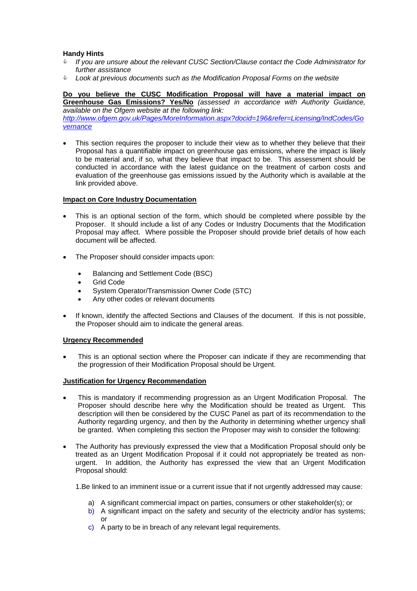# **Handy Hints**

- & *If you are unsure about the relevant CUSC Section/Clause contact the Code Administrator for further assistance*
- & *Look at previous documents such as the Modification Proposal Forms on the website*

**Do you believe the CUSC Modification Proposal will have a material impact on Greenhouse Gas Emissions? Yes/No** *(assessed in accordance with Authority Guidance,* 

*available on the Ofgem website at the following link: http://www.ofgem.gov.uk/Pages/MoreInformation.aspx?docid=196&refer=Licensing/IndCodes/Go vernance*

This section requires the proposer to include their view as to whether they believe that their Proposal has a quantifiable impact on greenhouse gas emissions, where the impact is likely to be material and, if so, what they believe that impact to be. This assessment should be conducted in accordance with the latest guidance on the treatment of carbon costs and evaluation of the greenhouse gas emissions issued by the Authority which is available at the link provided above.

# **Impact on Core Industry Documentation**

- This is an optional section of the form, which should be completed where possible by the Proposer. It should include a list of any Codes or Industry Documents that the Modification Proposal may affect. Where possible the Proposer should provide brief details of how each document will be affected.
- The Proposer should consider impacts upon:
	- Balancing and Settlement Code (BSC)
	- Grid Code
	- System Operator/Transmission Owner Code (STC)
	- Any other codes or relevant documents
- If known, identify the affected Sections and Clauses of the document. If this is not possible, the Proposer should aim to indicate the general areas.

#### **Urgency Recommended**

This is an optional section where the Proposer can indicate if they are recommending that the progression of their Modification Proposal should be Urgent.

#### **Justification for Urgency Recommendation**

- This is mandatory if recommending progression as an Urgent Modification Proposal. The Proposer should describe here why the Modification should be treated as Urgent. This description will then be considered by the CUSC Panel as part of its recommendation to the Authority regarding urgency, and then by the Authority in determining whether urgency shall be granted. When completing this section the Proposer may wish to consider the following:
- The Authority has previously expressed the view that a Modification Proposal should only be treated as an Urgent Modification Proposal if it could not appropriately be treated as nonurgent. In addition, the Authority has expressed the view that an Urgent Modification Proposal should:

1.Be linked to an imminent issue or a current issue that if not urgently addressed may cause:

- a) A significant commercial impact on parties, consumers or other stakeholder(s); or
- b) A significant impact on the safety and security of the electricity and/or has systems; or
- c) A party to be in breach of any relevant legal requirements.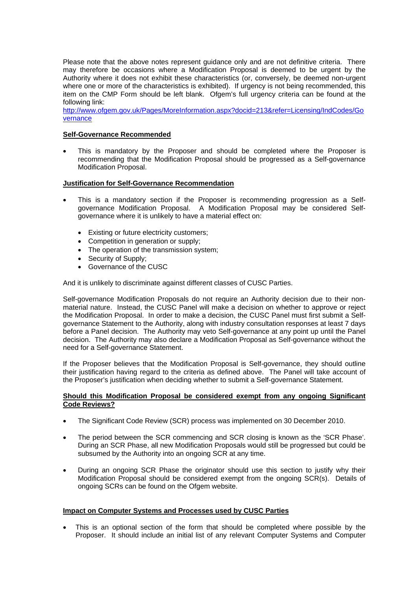Please note that the above notes represent guidance only and are not definitive criteria. There may therefore be occasions where a Modification Proposal is deemed to be urgent by the Authority where it does not exhibit these characteristics (or, conversely, be deemed non-urgent where one or more of the characteristics is exhibited). If urgency is not being recommended, this item on the CMP Form should be left blank. Ofgem's full urgency criteria can be found at the following link:

http://www.ofgem.gov.uk/Pages/MoreInformation.aspx?docid=213&refer=Licensing/IndCodes/Go vernance

# **Self-Governance Recommended**

This is mandatory by the Proposer and should be completed where the Proposer is recommending that the Modification Proposal should be progressed as a Self-governance Modification Proposal.

# **Justification for Self-Governance Recommendation**

- This is a mandatory section if the Proposer is recommending progression as a Selfgovernance Modification Proposal. A Modification Proposal may be considered Selfgovernance where it is unlikely to have a material effect on:
	- Existing or future electricity customers;
	- Competition in generation or supply;
	- The operation of the transmission system;
	- Security of Supply;
	- Governance of the CUSC

And it is unlikely to discriminate against different classes of CUSC Parties.

Self-governance Modification Proposals do not require an Authority decision due to their nonmaterial nature. Instead, the CUSC Panel will make a decision on whether to approve or reject the Modification Proposal. In order to make a decision, the CUSC Panel must first submit a Selfgovernance Statement to the Authority, along with industry consultation responses at least 7 days before a Panel decision. The Authority may veto Self-governance at any point up until the Panel decision. The Authority may also declare a Modification Proposal as Self-governance without the need for a Self-governance Statement.

If the Proposer believes that the Modification Proposal is Self-governance, they should outline their justification having regard to the criteria as defined above. The Panel will take account of the Proposer's justification when deciding whether to submit a Self-governance Statement.

#### **Should this Modification Proposal be considered exempt from any ongoing Significant Code Reviews?**

- The Significant Code Review (SCR) process was implemented on 30 December 2010.
- The period between the SCR commencing and SCR closing is known as the 'SCR Phase'. During an SCR Phase, all new Modification Proposals would still be progressed but could be subsumed by the Authority into an ongoing SCR at any time.
- During an ongoing SCR Phase the originator should use this section to justify why their Modification Proposal should be considered exempt from the ongoing SCR(s). Details of ongoing SCRs can be found on the Ofgem website.

# **Impact on Computer Systems and Processes used by CUSC Parties**

This is an optional section of the form that should be completed where possible by the Proposer. It should include an initial list of any relevant Computer Systems and Computer